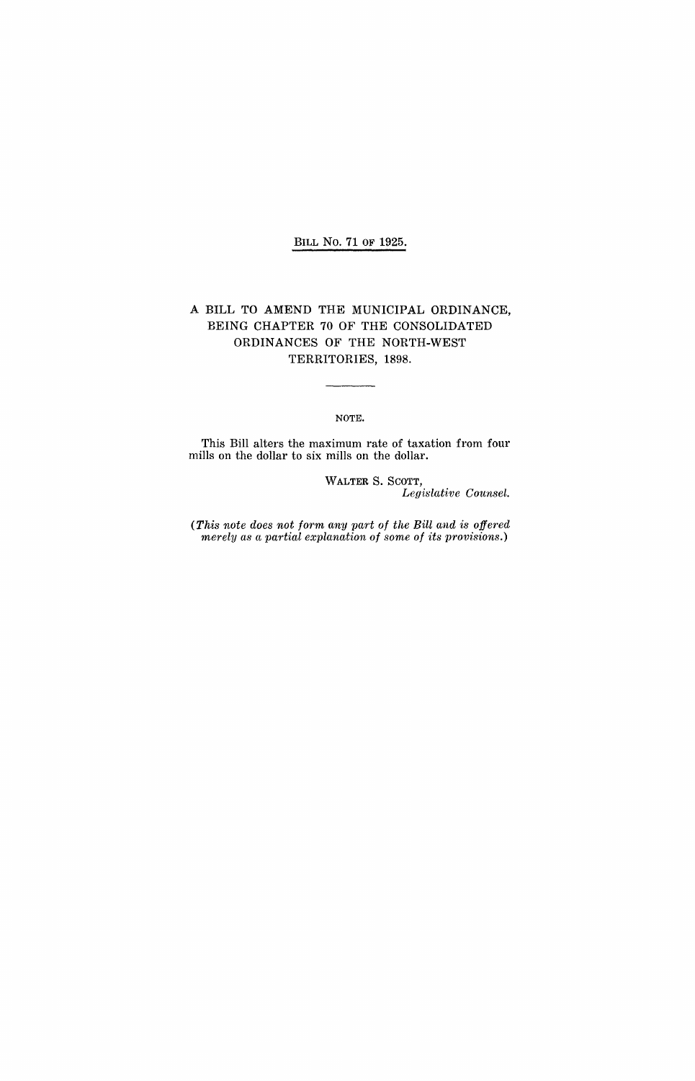## BILL No. 71 OF 1925.

## A BILL TO AMEND THE MUNICIPAL ORDINANCE, BEING CHAPTER 70 OF THE CONSOLIDATED ORDINANCES OF THE NORTH-WEST TERRITORIES, 1898.

NOTE.

 $\overline{\phantom{a}}$ 

This Bill alters the maximum rate of taxation from four mills on the dollar to six mills on the dollar.

> WALTER S. SCOTT, *Legislat'ive Counsel.*

(This note does not form any part of the Bill and is offered *merely as a partial explanation of some of its provisions.)*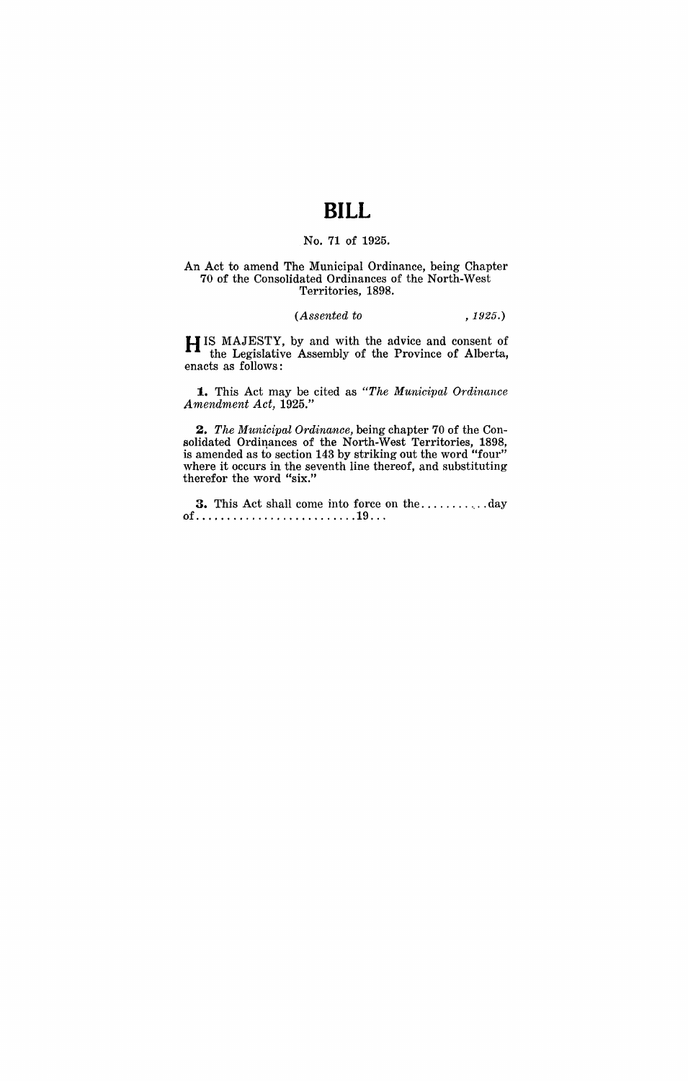# **BILL**

## No. 71 of 1925.

#### An Act to amend The Municipal Ordinance, being Chapter 70 of the Consolidated Ordinances of the North-West Territories, 1898.

#### *(Assented to* ,1925.)

H IS MAJESTY, by and with the advice and consent of the Legislative Assembly of the Province of Alberta, enacts as follows:

**1.** This Act may be cited as *"The Municipal OTdinance Arnendment Act, 1925."* 

*2. The Municipal Ordinance,* being chapter 70 of the Consolidated Ordinances of the North-West Territories, 1898, is amended as to section 143 by striking out the word "four" where it occurs in the seventh line thereof, and substituting therefor the word "six."

**3.** This Act shall come into force on the .............. day of................................19...